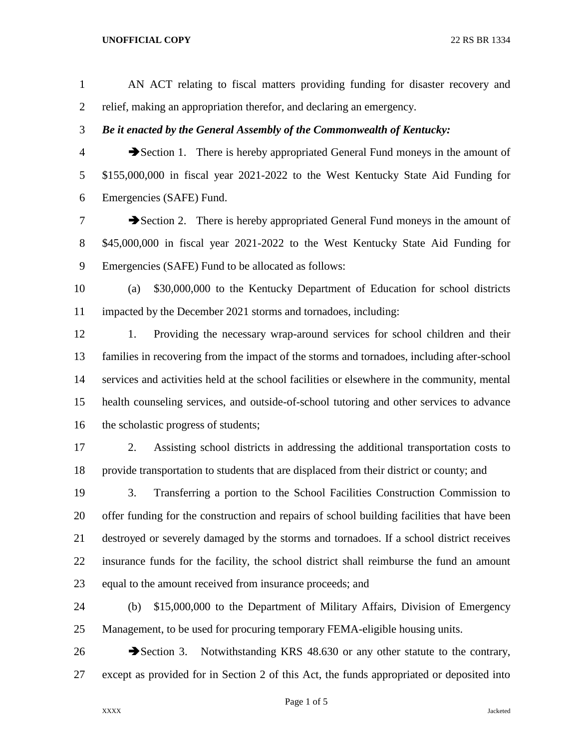## **UNOFFICIAL COPY** 22 RS BR 1334

 AN ACT relating to fiscal matters providing funding for disaster recovery and relief, making an appropriation therefor, and declaring an emergency. *Be it enacted by the General Assembly of the Commonwealth of Kentucky:* Section 1. There is hereby appropriated General Fund moneys in the amount of \$155,000,000 in fiscal year 2021-2022 to the West Kentucky State Aid Funding for Emergencies (SAFE) Fund. **Exercise 2.** There is hereby appropriated General Fund moneys in the amount of \$45,000,000 in fiscal year 2021-2022 to the West Kentucky State Aid Funding for Emergencies (SAFE) Fund to be allocated as follows: (a) \$30,000,000 to the Kentucky Department of Education for school districts impacted by the December 2021 storms and tornadoes, including: 1. Providing the necessary wrap-around services for school children and their families in recovering from the impact of the storms and tornadoes, including after-school services and activities held at the school facilities or elsewhere in the community, mental health counseling services, and outside-of-school tutoring and other services to advance 16 the scholastic progress of students; 2. Assisting school districts in addressing the additional transportation costs to provide transportation to students that are displaced from their district or county; and

 3. Transferring a portion to the School Facilities Construction Commission to offer funding for the construction and repairs of school building facilities that have been destroyed or severely damaged by the storms and tornadoes. If a school district receives insurance funds for the facility, the school district shall reimburse the fund an amount equal to the amount received from insurance proceeds; and

 (b) \$15,000,000 to the Department of Military Affairs, Division of Emergency Management, to be used for procuring temporary FEMA-eligible housing units.

26 Section 3. Notwithstanding KRS 48.630 or any other statute to the contrary, except as provided for in Section 2 of this Act, the funds appropriated or deposited into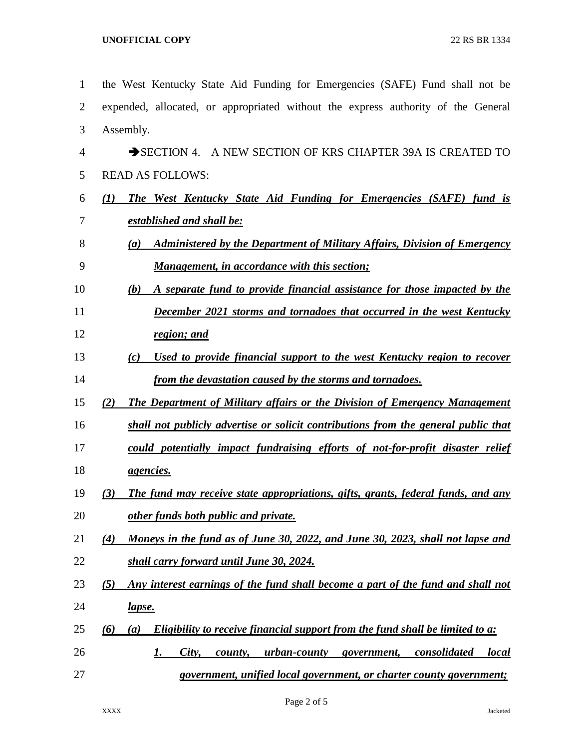| $\mathbf{1}$   | the West Kentucky State Aid Funding for Emergencies (SAFE) Fund shall not be                            |
|----------------|---------------------------------------------------------------------------------------------------------|
| $\overline{2}$ | expended, allocated, or appropriated without the express authority of the General                       |
| 3              | Assembly.                                                                                               |
| $\overline{4}$ | A NEW SECTION OF KRS CHAPTER 39A IS CREATED TO<br>$\rightarrow$ SECTION 4.                              |
| 5              | <b>READ AS FOLLOWS:</b>                                                                                 |
| 6              | (1)<br><b>The West Kentucky State Aid Funding for Emergencies (SAFE) fund is</b>                        |
| 7              | established and shall be:                                                                               |
| 8              | <b>Administered by the Department of Military Affairs, Division of Emergency</b><br>(a)                 |
| 9              | <u>Management, in accordance with this section;</u>                                                     |
| 10             | A separate fund to provide financial assistance for those impacted by the<br>(b)                        |
| 11             | <b>December 2021 storms and tornadoes that occurred in the west Kentucky</b>                            |
| 12             | region; and                                                                                             |
| 13             | <u>Used to provide financial support to the west Kentucky region to recover</u><br>(c)                  |
| 14             | from the devastation caused by the storms and tornadoes.                                                |
| 15             | <b>The Department of Military affairs or the Division of Emergency Management</b><br>(2)                |
| 16             | shall not publicly advertise or solicit contributions from the general public that                      |
| 17             | could potentially impact fundraising efforts of not-for-profit disaster relief                          |
| 18             | <i><u>agencies.</u></i>                                                                                 |
| 19             | The fund may receive state appropriations, gifts, grants, federal funds, and any<br>(3)                 |
| 20             | other funds both public and private.                                                                    |
| 21             | Moneys in the fund as of June 30, 2022, and June 30, 2023, shall not lapse and<br>(4)                   |
| 22             | shall carry forward until June 30, 2024.                                                                |
| 23             | Any interest earnings of the fund shall become a part of the fund and shall not<br>(5)                  |
| 24             | <u>lapse.</u>                                                                                           |
| 25             | Eligibility to receive financial support from the fund shall be limited to a:<br>(6)<br>(a)             |
| 26             | City,<br><u>urban-county</u> government,<br><i>consolidated</i><br><i>local</i><br><u>I.</u><br>county, |
| 27             | government, unified local government, or charter county government;                                     |

Page 2 of 5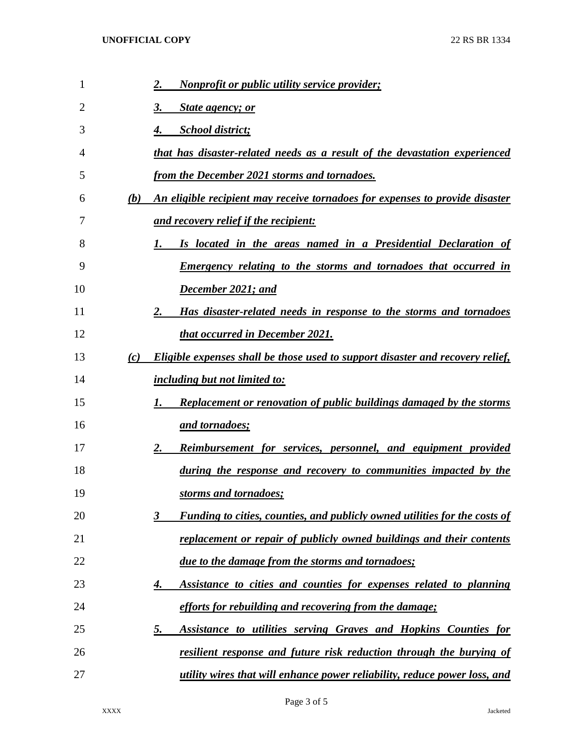| 1  |     | <i>Nonprofit or public utility service provider;</i><br>2.                             |
|----|-----|----------------------------------------------------------------------------------------|
| 2  |     | 3.<br>State agency; or                                                                 |
| 3  |     | <b>School district;</b><br>4.                                                          |
| 4  |     | that has disaster-related needs as a result of the devastation experienced             |
| 5  |     | from the December 2021 storms and tornadoes.                                           |
| 6  | (b) | An eligible recipient may receive tornadoes for expenses to provide disaster           |
| 7  |     | and recovery relief if the recipient:                                                  |
| 8  |     | Is located in the areas named in a Presidential Declaration of<br>1.                   |
| 9  |     | <u>Emergency relating to the storms and tornadoes that occurred in</u>                 |
| 10 |     | December 2021; and                                                                     |
| 11 |     | Has disaster-related needs in response to the storms and tornadoes<br>2.               |
| 12 |     | <b>that occurred in December 2021.</b>                                                 |
| 13 | (c) | <b>Eligible expenses shall be those used to support disaster and recovery relief,</b>  |
| 14 |     | <i><u>including but not limited to:</u></i>                                            |
| 15 |     | <b>Replacement or renovation of public buildings damaged by the storms</b><br>1.       |
| 16 |     | <u>and tornadoes;</u>                                                                  |
| 17 |     | <b>Reimbursement for services, personnel, and equipment provided</b><br>2.             |
| 18 |     | during the response and recovery to communities impacted by the                        |
| 19 |     | storms and tornadoes;                                                                  |
| 20 |     | <b>Funding to cities, counties, and publicly owned utilities for the costs of</b><br>3 |
| 21 |     | replacement or repair of publicly owned buildings and their contents                   |
| 22 |     | due to the damage from the storms and tornadoes;                                       |
| 23 |     | Assistance to cities and counties for expenses related to planning<br>4.               |
| 24 |     | efforts for rebuilding and recovering from the damage;                                 |
| 25 |     | <b>Assistance to utilities serving Graves and Hopkins Counties for</b><br><u>5.</u>    |
| 26 |     | <u>resilient response and future risk reduction through the burying of</u>             |
| 27 |     | <u>utility wires that will enhance power reliability, reduce power loss, and</u>       |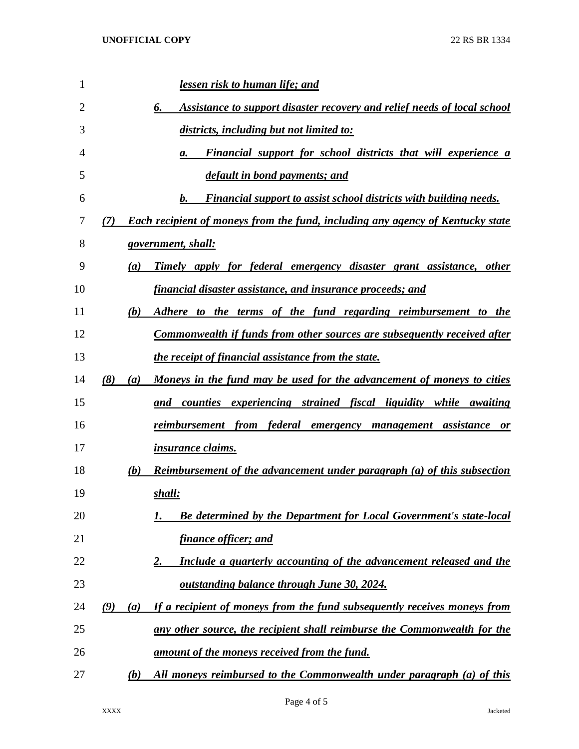| 1              | lessen risk to human life; and                                                               |
|----------------|----------------------------------------------------------------------------------------------|
| $\overline{2}$ | Assistance to support disaster recovery and relief needs of local school<br>6.               |
| 3              | districts, including but not limited to:                                                     |
| 4              | Financial support for school districts that will experience a<br>а.                          |
| 5              | default in bond payments; and                                                                |
| 6              | $\bm{b}$ .<br><b>Financial support to assist school districts with building needs.</b>       |
| 7              | <b>Each recipient of moneys from the fund, including any agency of Kentucky state</b><br>(7) |
| 8              | government, shall:                                                                           |
| 9              | Timely apply for federal emergency disaster grant assistance, other<br>(a)                   |
| 10             | financial disaster assistance, and insurance proceeds; and                                   |
| 11             | (b)<br>Adhere to the terms of the fund regarding reimbursement to the                        |
| 12             | Commonwealth if funds from other sources are subsequently received after                     |
| 13             | <u>the receipt of financial assistance from the state.</u>                                   |
| 14             | (8)<br><u>Moneys in the fund may be used for the advancement of moneys to cities</u><br>(a)  |
| 15             | and counties experiencing strained fiscal liquidity while awaiting                           |
| 16             | reimbursem <u>ent from federal emergency management assistance</u><br><b>or</b>              |
| 17             | <i>insurance claims.</i>                                                                     |
| 18             | <b>Reimbursement of the advancement under paragraph (a) of this subsection</b><br>(b)        |
| 19             | shall:                                                                                       |
| 20             | <b>Be determined by the Department for Local Government's state-local</b>                    |
| 21             | <u>finance officer; and</u>                                                                  |
| 22             | Include a quarterly accounting of the advancement released and the<br>2.                     |
| 23             | <u>outstanding balance through June 30, 2024.</u>                                            |
| 24             | If a recipient of moneys from the fund subsequently receives moneys from<br>(9)<br>(a)       |
| 25             | any other source, the recipient shall reimburse the Commonwealth for the                     |
| 26             | amount of the moneys received from the fund.                                                 |
| 27             | All moneys reimbursed to the Commonwealth under paragraph (a) of this<br>(b)                 |